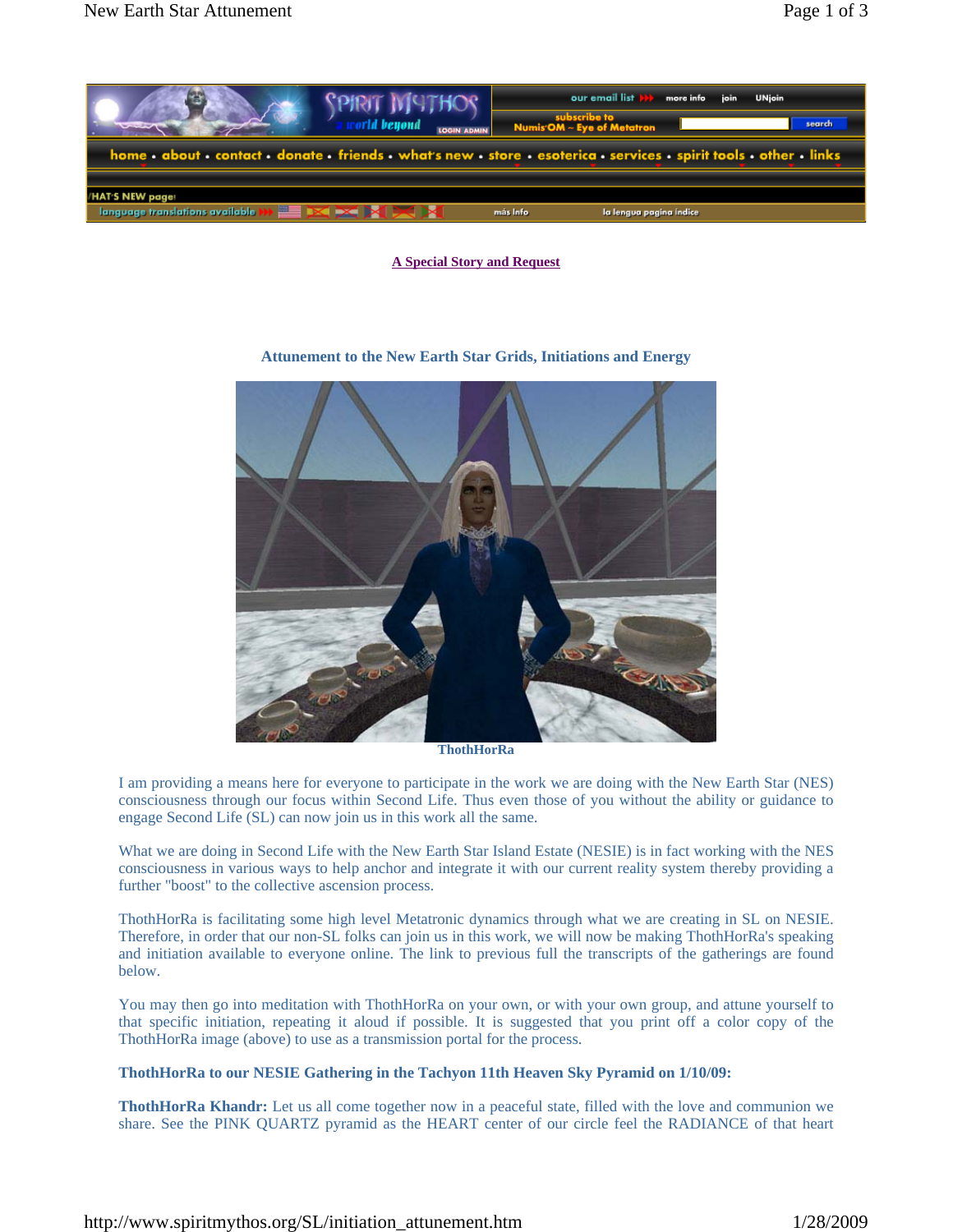

**A Special Story and Request**



## **Attunement to the New Earth Star Grids, Initiations and Energy**

**ThothHorRa** 

I am providing a means here for everyone to participate in the work we are doing with the New Earth Star (NES) consciousness through our focus within Second Life. Thus even those of you without the ability or guidance to engage Second Life (SL) can now join us in this work all the same.

What we are doing in Second Life with the New Earth Star Island Estate (NESIE) is in fact working with the NES consciousness in various ways to help anchor and integrate it with our current reality system thereby providing a further "boost" to the collective ascension process.

ThothHorRa is facilitating some high level Metatronic dynamics through what we are creating in SL on NESIE. Therefore, in order that our non-SL folks can join us in this work, we will now be making ThothHorRa's speaking and initiation available to everyone online. The link to previous full the transcripts of the gatherings are found below.

You may then go into meditation with ThothHorRa on your own, or with your own group, and attune yourself to that specific initiation, repeating it aloud if possible. It is suggested that you print off a color copy of the ThothHorRa image (above) to use as a transmission portal for the process.

## **ThothHorRa to our NESIE Gathering in the Tachyon 11th Heaven Sky Pyramid on 1/10/09:**

**ThothHorRa Khandr:** Let us all come together now in a peaceful state, filled with the love and communion we share. See the PINK QUARTZ pyramid as the HEART center of our circle feel the RADIANCE of that heart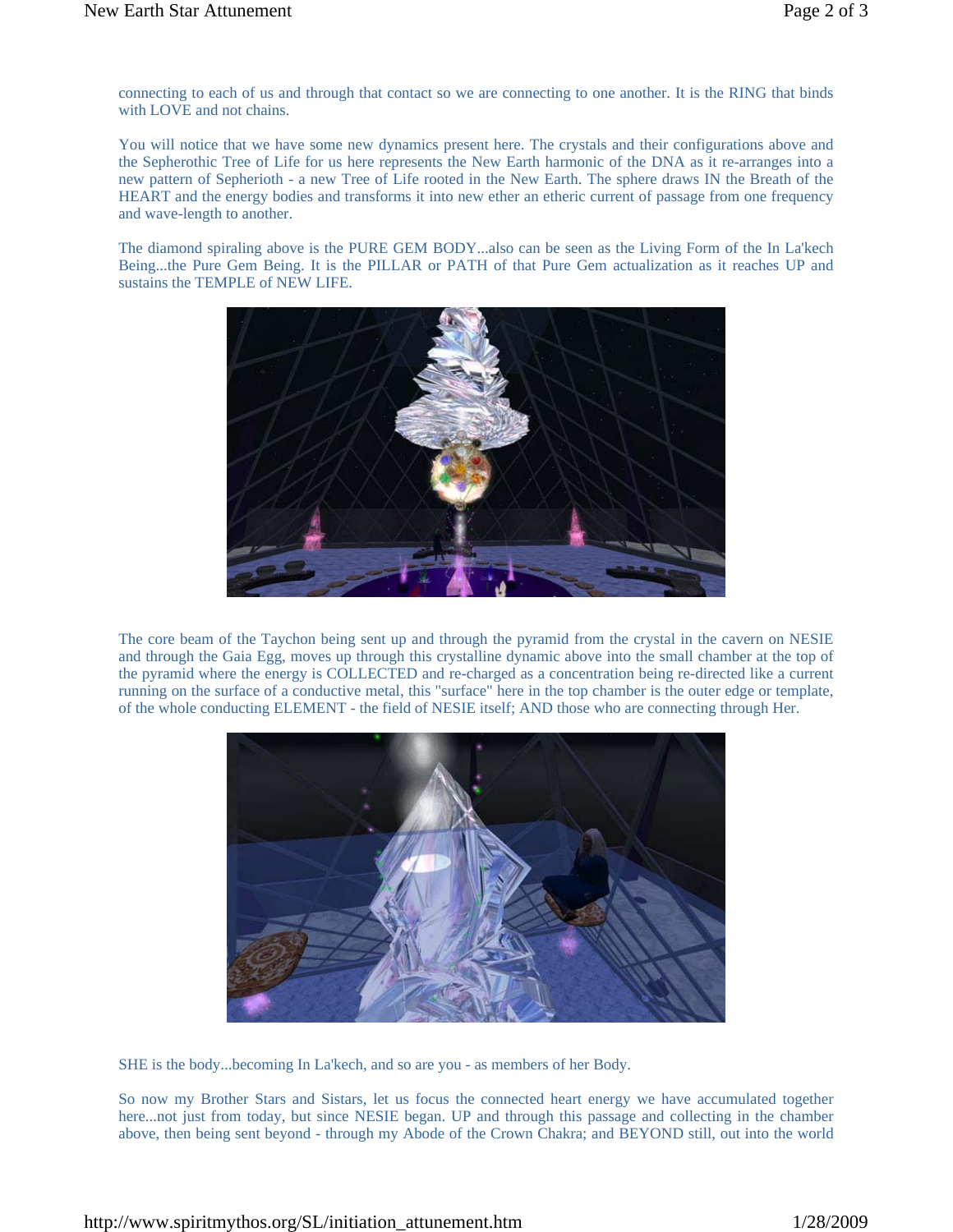connecting to each of us and through that contact so we are connecting to one another. It is the RING that binds with LOVE and not chains.

You will notice that we have some new dynamics present here. The crystals and their configurations above and the Sepherothic Tree of Life for us here represents the New Earth harmonic of the DNA as it re-arranges into a new pattern of Sepherioth - a new Tree of Life rooted in the New Earth. The sphere draws IN the Breath of the HEART and the energy bodies and transforms it into new ether an etheric current of passage from one frequency and wave-length to another.

The diamond spiraling above is the PURE GEM BODY...also can be seen as the Living Form of the In La'kech Being...the Pure Gem Being. It is the PILLAR or PATH of that Pure Gem actualization as it reaches UP and sustains the TEMPLE of NEW LIFE.



The core beam of the Taychon being sent up and through the pyramid from the crystal in the cavern on NESIE and through the Gaia Egg, moves up through this crystalline dynamic above into the small chamber at the top of the pyramid where the energy is COLLECTED and re-charged as a concentration being re-directed like a current running on the surface of a conductive metal, this "surface" here in the top chamber is the outer edge or template, of the whole conducting ELEMENT - the field of NESIE itself; AND those who are connecting through Her.



SHE is the body...becoming In La'kech, and so are you - as members of her Body.

So now my Brother Stars and Sistars, let us focus the connected heart energy we have accumulated together here...not just from today, but since NESIE began. UP and through this passage and collecting in the chamber above, then being sent beyond - through my Abode of the Crown Chakra; and BEYOND still, out into the world